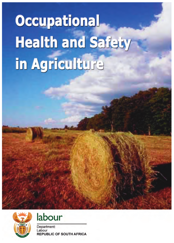**Occupational Health and Safety** in Agriculture





Department: Labour **REPUBLIC OF SOUTH AFRICA**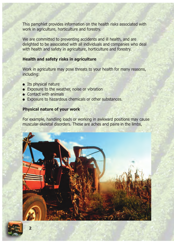This pamphlet provides information on the health risks associated with work in agriculture, horticulture and forestry.

We are committed to preventing accidents and ill health, and are delighted to be associated with all individuals and companies who deal with health and safety in agriculture, horticulture and forestry.

## **Health and safety risks in agriculture**

Work in agriculture may pose threats to your health for many reasons, including:

- Its physical nature
- Exposure to the weather, noise or vibration
- Contact with animals
- Exposure to hazardous chemicals or other substances.

## **Physical nature of your work**

For example, handling loads or working in awkward positions may cause muscular-skeletal disorders. These are aches and pains in the limbs,



**2**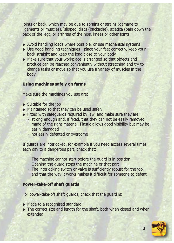joints or back, which may be due to sprains or strains (damage to ligaments or muscles), 'slipped' discs (backache), sciatica (pain down the back of the leg), or arthritis of the hips, knees or other joints.

- Avoid handling loads where possible, or use mechanical systems
- Use good handling techniques place your feet correctly, keep your back straight and keep the load close to your body
- Make sure that your workplace is arranged so that objects and produce can be reached conveniently without stretching and try to change tasks or move so that you use a variety of muscles in the body.

## **Using machines safely on farms**

Make sure the machines you use are:

- Suitable for the job
- Maintained so that they can be used safely
- Fitted with safeguards required by law, and make sure they are:
	- strong enough and, if fixed, that they can not be easily removed
		- made of the right material. Plastic allows good visibility but may be easily damaged
		- not easily defeated or overcome

If guards are interlocked, for example if you need access several times each day to a dangerous part, check that:

- The machine cannot start before the guard is in position
- Opening the guard stops the machine or that part
- The interlocking switch or valve is sufficiently robust for the job, and that the way it works makes it difficult for someone to defeat.

## **Power-take-off shaft guards**

For power-take-off shaft guards, check that the guard is:

- Made to a recognised standard
- The correct size and length for the shaft, both when closed and when extended

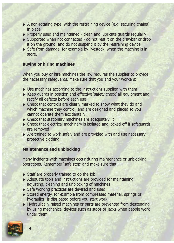- $\bullet$  A non-rotating type, with the restraining device (e.g. securing chains) in place
- Properly used and maintained clean and lubricate guards regularly
- Supported when not connected do not rest it on the drawbar or drop it on the ground, and do not suspend it by the restraining device
- Safe from damage, for example by livestock, when the machine is in store.

# **Buying or hiring machines**

When you buy or hire machines the law requires the supplier to provide the necessary safeguards. Make sure that you and your workers:

- Use machines according to the instructions supplied with them
- Keep guards in position and effective 'safety check' all equipment and rectify all defects before each use
- Check that controls are clearly marked to show what they do and which machine they control, and are designed and placed so you cannot operate them accidentally
- **Check that stationary machines are adequately lit**
- Check that electrical machinery is isolated and locked-off if safeguards are removed
- Are trained to work safely and are provided with and use necessary protective clothing.

## **Maintenance and unblocking**

Many incidents with machines occur during maintenance or unblocking operations. Remember 'safe stop' and make sure that:

- Staff are properly trained to do the job
- Adequate tools and instructions are provided for maintaining, adjusting, cleaning and unblocking of machines
- Safe working practices are devised and used
- Stored energy, for example from compressed material, springs or hydraulics, is dissipated before you start work
- Hydraulically raised machines or parts are prevented from descending by using mechanical devices such as stops or jacks when people work under them.

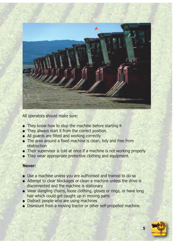

All operators should make sure:

- They know how to stop the machine before starting it
- They always start it from the correct position
- All guards are fitted and working correctly
- The area around a fixed machine is clean, tidy and free from obstruction
- Their supervisor is told at once if a machine is not working properly
- They wear appropriate protective clothing and equipment.

## **Never:**

- Use a machine unless you are authorised and trained to do so
- Attempt to clear blockages or clean a machine unless the drive is disconnected and the machine is stationary
- Wear dangling chains, loose clothing, gloves or rings, or have long hair which could get caught up in moving parts
- Distract people who are using machines
- Dismount from a moving tractor or other self-propelled machine.

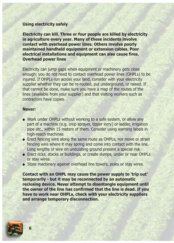### **Using electricity safely**

**Electricity can kill. Three or four people are killed by electricity in agriculture every year. Many of these incidents involve contact with overhead power lines. Others involve poorly maintained handheld equipment or extension cables. Poor electrical installations and equipment can also cause fires. Overhead power lines**

Electricity can jump gaps when equipment or machinery gets close enough: you do not need to contact overhead power lines (OHPLs) to be injured. If OHPLs run across your land, consider with your electricity supplier whether they can be re-routed, put underground, or raised. If that cannot be done, make sure you have a map of the routes of the lines (available from your supplier) and that visiting workers such as contractors have copies.

### **Never:**

- Work under OHPLs without working to a safe system, or allow any part of a machine (e.g. crop sprayer, tipper lorry) or ladder, irrigation pipe etc., within 15 meters of them. Consider using warning labels in high-reach machines
- Erect fencing wire along the same route as OHPLs, nor move or strain fencing wire where it may spring and come into contact with the line. Long lengths of wire on undulating ground present a special risk
- Erect ricks, stacks or buildings, or create dumps, under or near OHPLs or stay wires
- Store machinery against overhead line towers, poles or stay wires.

**Contact with an OHPL may cause the power supply to 'trip out' temporarily - but it may be reconnected by an automatic reclosing device. Never attempt to disentangle equipment until the owner of the line has confirmed that the line is dead. If you have to work near OHPLs, check with your electricity suppliers and arrange temporary disconnection.**

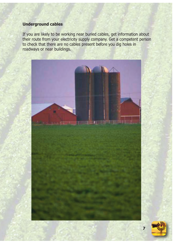# **Underground cables**

If you are likely to be working near buried cables, get information about their route from your electricity supply company. Get a competent person to check that there are no cables present before you dig holes in roadways or near buildings.



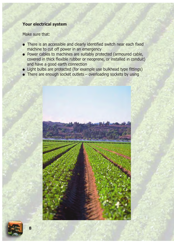# **Your electrical system**

Make sure that:

- There is an accessible and clearly identified switch near each fixed machine to cut off power in an emergency
- Power cables to machines are suitably protected (armoured cable, covered in thick flexible rubber or neoprene, or installed in conduit) and have a good earth connection
- Light bulbs are protected (for example use bulkhead type fittings)
- $\bullet$  There are enough socket outlets overloading sockets by using

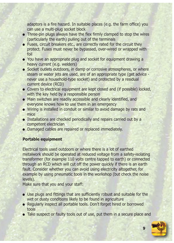adaptors is a fire hazard. In suitable places (e.g. the farm office) you can use a multi-plug socket block

- Three-pin plugs always have the flex firmly clamped to stop the wires (particularly the earth) pulling out of the terminals
- Fuses, circuit breakers etc., are correctly rated for the circuit they protect. Fuses must never be bypassed, over-wired or wrapped with foil
- You have an appropriate plug and socket for equipment drawing a heavy current (e.g. welders)
- Socket outlets outdoors, in damp or corrosive atmospheres, or where steam or water jets are used, are of an appropriate type (get advice never use a household-type socket) and protected by a residual current device (RCD)
- Covers to electrical equipment are kept closed and (if possible) locked, with the key held by a responsible person
- Main switches are readily accessible and clearly identified, and everyone knows how to use them in an emergency
- Wiring is installed in conduit or similar to avoid damage by rats and mice
- Installations are checked periodically and repairs carried out by a competent electrician
- Damaged cables are repaired or replaced immediately.

# **Portable equipment**

Electrical tools used outdoors or where there is a lot of earthed metalwork should be operated at reduced voltage from a safety-isolating transformer (for example 110 volts centre tapped to earth) or connected through an RCD which will cut off the power quickly if there is an earth fault. Consider whether you can avoid using electricity altogether, for example by using pneumatic tools in the workshop (but check the noise levels).

Make sure that you and your staff:

- Use plugs and fittings that are sufficiently robust and suitable for the wet or dusty conditions likely to be found in agriculture
- Regularly inspect all portable tools. Don't forget hired or borrowed tools
- Take suspect or faulty tools out of use, put them in a secure place and

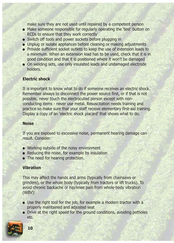make sure they are not used until repaired by a competent person

- Make someone responsible for regularly operating the 'test' button on RCDs to ensure that they work correctly
- Switch off tools and power sockets before plugging in
- Unplug or isolate appliances before cleaning or making adjustments
- Provide sufficient socket outlets to keep the use of extension leads to a minimum. When an extension lead has to be used, check that it is in good condition and that it is positioned where it won't be damaged
- On welding sets, use only insulated leads and undamaged electrode holders.

## **Electric shock**

It is important to know what to do if someone receives an electric shock. Remember always to disconnect the power source first, or if that is not possible, never touch the electrocuted person except with nonconducting items - never use metal. Resuscitation needs training and practice so make sure that your staff receive elementary first-aid training. Display a copy of an 'electric shock placard' that shows what to do.

### **Noise**

If you are exposed to excessive noise, permanent hearing damage can result. Consider:

- Working outside of the noisy environment
- Reducing the noise, for example by insulation
- The need for hearing protection.

## **Vibration**

This may affect the hands and arms (typically from chainsaws or grinders), or the whole body (typically from tractors or lift trucks). To avoid chronic backache or hip/knee pain from whole-body vibration (WBV):

- Use the right tool for the job, for example a modern tractor with a properly maintained and adjusted seat
- Drive at the right speed for the ground conditions, avoiding potholes etc.

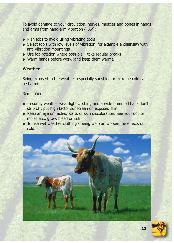To avoid damage to your circulation, nerves, muscles and bones in hands and arms from hand-arm vibration (HAV):

- Plan jobs to avoid using vibrating tools
- Select tools with low levels of vibration, for example a chainsaw with anti-vibration mountings
- $\bullet$  Use job rotation where possible take regular breaks
- Warm hands before work (and keep them warm).

# **Weather**

Being exposed to the weather, especially sunshine or extreme cold can be harmful.

Remember:

- In sunny weather wear light clothing and a wide brimmed hat don't strip off; put high factor sunscreen on exposed skin
- Keep an eye on moles, warts or skin discoloration. See your doctor if moles etc., grow, bleed or itch
- To use wet weather clothing being wet can worsen the effects of cold.



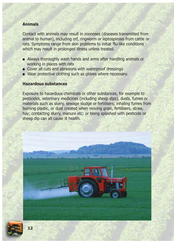## **Animals**

Contact with animals may result in zoonoses (diseases transmitted from animal to human), including orf, ringworm or leptospirosis from cattle or rats. Symptoms range from skin problems to initial 'flu-like conditions which may result in prolonged illness unless treated.

- Always thoroughly wash hands and arms after handling animals or working in places with rats
- Cover all cuts and abrasions with waterproof dressings
- Wear protective clothing such as gloves where necessary.

### **Hazardous substances**

Exposure to hazardous chemicals or other substances, for example to pesticides, veterinary medicines (including sheep dips), dusts, fumes or materials such as slurry, sewage sludge or fertilisers; inhaling fumes from burning plastic, or dust created when moving grain, fertilisers, straw, hay; contacting slurry, manure etc; or being splashed with pesticide or sheep dip can all cause ill health.

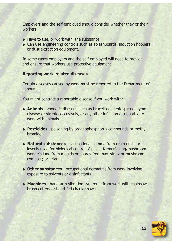Employers and the self-employed should consider whether they or their workers:

- Have to use, or work with, the substance
- Can use engineering controls such as splashboards, induction hoppers or dust extraction equipment.

In some cases employers and the self-employed will need to provide, and ensure that workers use protective equipment.

## **Reporting work-related diseases**

Certain diseases caused by work must be reported to the Department of Labour.

You might contract a reportable disease if you work with:

- **Animals** zoonotic diseases such as brucellosis, leptospirosis, lyme disease or streptococcus suis, or any other infection attributable to work with animals
- **Pesticides** poisoning by organophosphorus compounds or methyl bromide
- **Natural substances** occupational asthma from grain dusts or insects used for biological control of pests; farmer's lung/mushroom worker's lung from moulds or spores from hay, straw or mushroom compost; or tetanus
- **Other substances** occupational dermatitis from work involving exposure to solvents or disinfectants
- **Machines** hand-arm vibration syndrome from work with chainsaws, brush cutters or hand-fed circular saws.

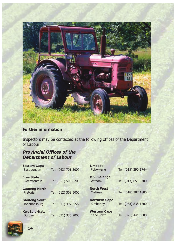

# **Further information**

Inspectors may be contacted at the following offices of the Department of Labour:

# **Provincial Offices of the Department of Labour**

| <b>Eastern Cape</b><br>East London   | Tel: (043) 701 3000 | <b>Limpopo</b><br>Polokwane         | Tel: (015) 290 1744 |
|--------------------------------------|---------------------|-------------------------------------|---------------------|
| <b>Free State</b><br>Bloemfontein    | Tel: (051) 505 6200 | <b>Mpumalanga</b><br><b>Witbank</b> | Tel: (013) 655 8700 |
| <b>Gauteng North</b><br>Pretoria     | Tel: (012) 309 5000 | <b>North West</b><br>Mafikeng       | Tel: (018) 387 1800 |
| <b>Gauteng South</b><br>Johannesburg | Tel: (011) 497 3222 | <b>Northern Cape</b><br>Kimberley   | Tel: (053) 838 1500 |
| <b>KwaZulu-Natal</b><br>Durban       | Tel: (031) 336 2000 | <b>Western Cape</b><br>Cape Town    | Tel: (021) 441 8000 |

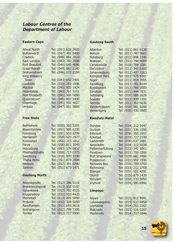## **Labour Centres of the Department of Labour**

#### **Eastern Cape**

| <b>Aliwal North</b>   | Tel: (051) 633 2633 |
|-----------------------|---------------------|
| <b>Butterworth</b>    | Tel: (047) 491 0490 |
| Cradock               | Tel: (048) 881 3010 |
| <b>East London</b>    | Tel: (043) 702 7500 |
| <b>Fort Beaufort</b>  | Tel: (046) 645 4686 |
| <b>Graaf-Reinet</b>   | Tel: (049) 892 2142 |
| Grahamstown           | Tel: (046) 622 2104 |
| King William's        |                     |
| Town                  | Tel: (043) 642 3401 |
| Lusikisiki            | Tel: (039) 253 1996 |
| Maclear               | Tel: (045) 932 1424 |
| Mdantsane             | Tel: (043) 761 3151 |
| <b>Port Elizabeth</b> | Tel: (041) 506 5000 |
| Queenstown            | Tel: (045) 807 5400 |
| <b>Uitenhage</b>      | Tel: (041) 992 4627 |
| Umtata                | Tel: (047) 501 5600 |
|                       |                     |

#### **Free State**

| <b>Bethlehem</b>    | Tel: (058) 303 5293 |  |
|---------------------|---------------------|--|
| <b>Bloemfontein</b> | Tel: (051) 505 6200 |  |
| Ficksburg           | Tel: (051) 933 2299 |  |
| <b>Harrismith</b>   | Tel: (058) 623 2977 |  |
| Kroonstad           | Tel: (056) 215 1812 |  |
| Parys               | Tel: (056) 811 3043 |  |
| Petrusburg          | Tel: (053) 574 0932 |  |
| Phuthaditjhaba      | Tel: (058) 713 0373 |  |
| Sasolburg           | Tel: (016) 970 3200 |  |
| Thaba Nchu          | Tel: (051) 873 2004 |  |
| Welkom              | Tel: (057) 391 0200 |  |
| Zastron             | Tel: (051) 673 1471 |  |

#### **Gauteng North**

| <b>Atteridgeville</b> | Tel: (012) 386 5116 |  |
|-----------------------|---------------------|--|
| Bronkhorstspruit      | Tel: (013) 932 0197 |  |
| Garankuwa             | Tel: (012) 702 4525 |  |
| Krugersdorp           | Tel: (011) 955 4420 |  |
| Mamelodi              | Tel: (012) 805 5090 |  |
| Pretoria              | Tel: (012) 309 5050 |  |
| Randfontein           | Tel: (011) 693 3618 |  |
| Soshanguve            | Tel: (012) 799 7395 |  |
| <b>Temba</b>          | Tel: (012) 717 9500 |  |

#### **Gauteng South**

Alberton Tel: (011) 861 6130<br>Benoni Tel: (011) 747 9601 Benoni Tel: (011) 747 9601<br>Boksburg Tel: (011) 898 3340 Tel: (011) 898 3340 Brakpan Tel: (011) 744 9000 Carletonville Tel: (018) 788 3281 Germiston Tel: (011) 345 6300 Johannesburg Tel: (011) 497 3163<br>Kempton Park Tel: (011) 975 9301 Tel: (011) 975 9301 Nigel Tel: (011) 814 7095 Randburg Tel: (011) 781 8144 Roodepoort Tel: (011) 766 2000 Sandton Tel: (011) 444 7631 Sebokeng Tel: (016) 988 2626 Soweto Tel: (011) 939 1200 Springs Tel: (011) 362 6636 Vanderbijlpark Tel: (016) 981 0280 Vereeniging Tel: (016) 430 0000

#### **KwaZulu-Natal**

Dundee Tel: (034) 212 3147 Durban Tel: (031) 336 1500 Estcourt Tel: (036) 352 2161 Kokstad Tel: (039) 727 2140 Ladysmith Tel: (036) 637 3461 Newcastle Tel: (034) 312 6038 Pietermaritzburg Tel: (033) 342 9361 Pinetown Tel: (031) 700 2206 Port Shepstone Tel: (039) 682 2406 Prospecton Tel: (031) 902 1590 Richards Bay Tel: (035) 789 3760 Richmond Tel: (033) 212 2768 Stanger Tel: (032) 551 4291 Ulundi Tel: (035) 879 1439 Verulam Tel: (032) 533 5050 Vryheid Tel: (034) 980 8992

#### **Limpopo**

| Givani      | Tel: (015) 812 9041 |  |
|-------------|---------------------|--|
| Lebowakgomo | Tel: (015) 633 6958 |  |
| Lephalale   | Tel: (014) 763 2162 |  |
| Makhado     | Tel: (015) 516 0207 |  |
| Modimolle   | Tel: (014) 717 1046 |  |
|             |                     |  |



**15**